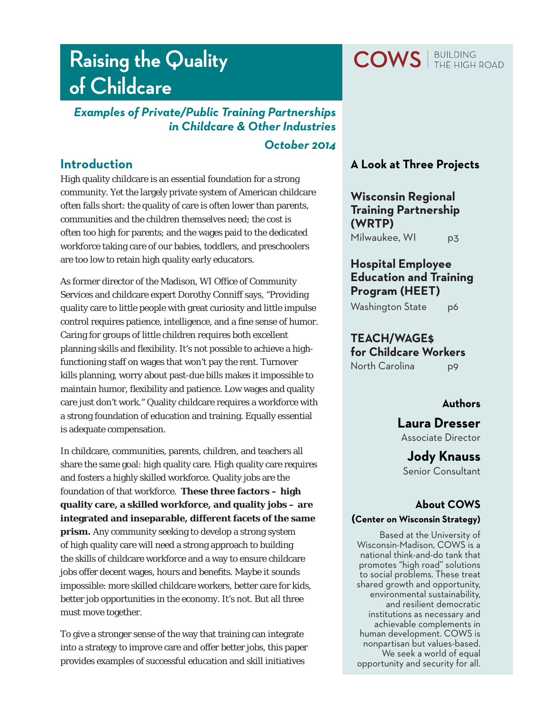# **Raising the Quality of Childcare**

# *Examples of Private/Public Training Partnerships in Childcare & Other Industries*

### *October 2014*

## **Introduction**

High quality childcare is an essential foundation for a strong community. Yet the largely private system of American childcare often falls short: the quality of care is often lower than parents, communities and the children themselves need; the cost is often too high for parents; and the wages paid to the dedicated workforce taking care of our babies, toddlers, and preschoolers are too low to retain high quality early educators.

As former director of the Madison, WI Office of Community Services and childcare expert Dorothy Conniff says, "Providing quality care to little people with great curiosity and little impulse control requires patience, intelligence, and a fine sense of humor. Caring for groups of little children requires both excellent planning skills and flexibility. It's not possible to achieve a highfunctioning staff on wages that won't pay the rent. Turnover kills planning, worry about past-due bills makes it impossible to maintain humor, flexibility and patience. Low wages and quality care just don't work." Quality childcare requires a workforce with a strong foundation of education and training. Equally essential is adequate compensation.

In childcare, communities, parents, children, and teachers all share the same goal: high quality care. High quality care requires and fosters a highly skilled workforce. Quality jobs are the foundation of that workforce. **These three factors – high quality care, a skilled workforce, and quality jobs – are integrated and inseparable, different facets of the same prism.** Any community seeking to develop a strong system of high quality care will need a strong approach to building the skills of childcare workforce and a way to ensure childcare jobs offer decent wages, hours and benefits. Maybe it sounds impossible: more skilled childcare workers, better care for kids, better job opportunities in the economy. It's not. But all three must move together.

To give a stronger sense of the way that training can integrate into a strategy to improve care and offer better jobs, this paper provides examples of successful education and skill initiatives

## **A Look at Three Projects**

**Wisconsin Regional Training Partnership (WRTP)** Milwaukee, WI p3

## **Hospital Employee Education and Training Program (HEET)**

Washington State p6

**TEACH/WAGE\$** 

**for Childcare Workers** North Carolina p9

## **Authors**

**Laura Dresser**

Associate Director

**Jody Knauss** Senior Consultant

## **About COWS**

#### **(Center on Wisconsin Strategy)**

Based at the University of Wisconsin-Madison, COWS is a national think-and-do tank that promotes "high road" solutions to social problems. These treat shared growth and opportunity, environmental sustainability, and resilient democratic institutions as necessary and achievable complements in human development. COWS is nonpartisan but values-based. We seek a world of equal opportunity and security for all.

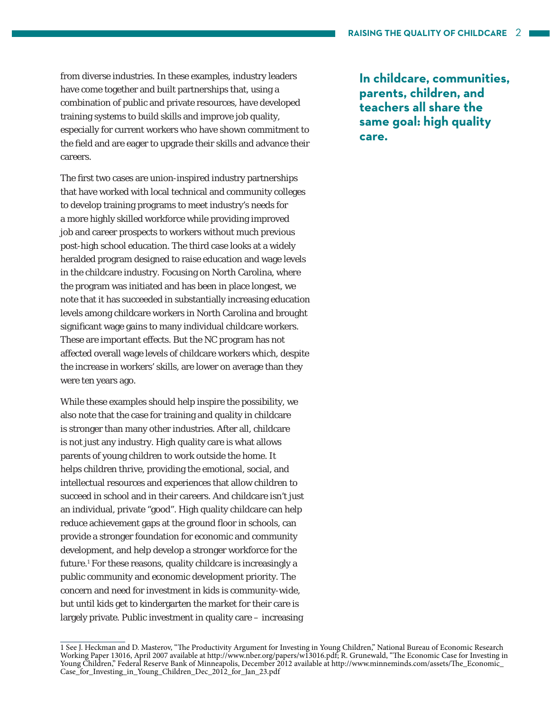from diverse industries. In these examples, industry leaders have come together and built partnerships that, using a combination of public and private resources, have developed training systems to build skills and improve job quality, especially for current workers who have shown commitment to the field and are eager to upgrade their skills and advance their careers.

The first two cases are union-inspired industry partnerships that have worked with local technical and community colleges to develop training programs to meet industry's needs for a more highly skilled workforce while providing improved job and career prospects to workers without much previous post-high school education. The third case looks at a widely heralded program designed to raise education and wage levels in the childcare industry. Focusing on North Carolina, where the program was initiated and has been in place longest, we note that it has succeeded in substantially increasing education levels among childcare workers in North Carolina and brought significant wage gains to many individual childcare workers. These are important effects. But the NC program has not affected overall wage levels of childcare workers which, despite the increase in workers' skills, are lower on average than they were ten years ago.

While these examples should help inspire the possibility, we also note that the case for training and quality in childcare is stronger than many other industries. After all, childcare is not just any industry. High quality care is what allows parents of young children to work outside the home. It helps children thrive, providing the emotional, social, and intellectual resources and experiences that allow children to succeed in school and in their careers. And childcare isn't just an individual, private "good". High quality childcare can help reduce achievement gaps at the ground floor in schools, can provide a stronger foundation for economic and community development, and help develop a stronger workforce for the future.<sup>1</sup> For these reasons, quality childcare is increasingly a public community and economic development priority. The concern and need for investment in kids is community-wide, but until kids get to kindergarten the market for their care is largely private. Public investment in quality care – increasing

**In childcare, communities, parents, children, and teachers all share the same goal: high quality care.** 

<sup>1</sup> See J. Heckman and D. Masterov, "The Productivity Argument for Investing in Young Children," National Bureau of Economic Research Working Paper 13016, April 2007 available at http://www.nber.org/papers/w13016.pdf; R. Grunewald, "The Economic Case for Investing in Young Children," Federal Reserve Bank of Minneapolis, December 2012 available at http://www.minneminds.com/assets/The\_Economic\_ Case\_for\_Investing\_in\_Young\_Children\_Dec\_2012\_for\_Jan\_23.pdf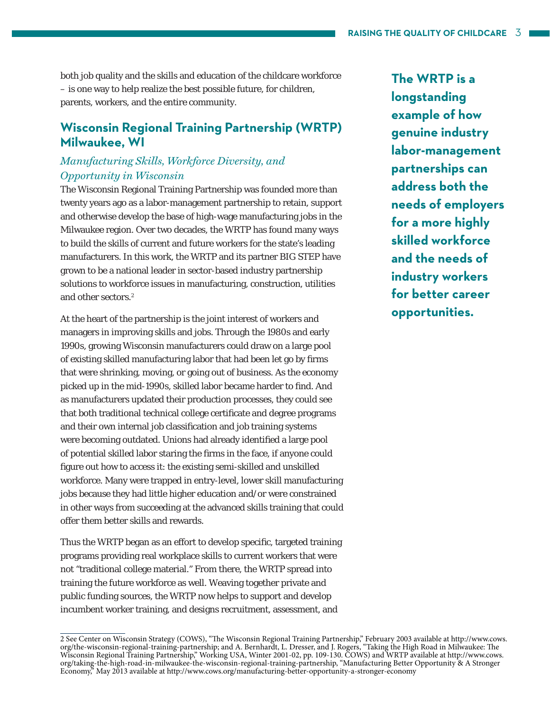both job quality and the skills and education of the childcare workforce – is one way to help realize the best possible future, for children, parents, workers, and the entire community.

## **Wisconsin Regional Training Partnership (WRTP) Milwaukee, WI**

#### *Manufacturing Skills, Workforce Diversity, and Opportunity in Wisconsin*

The Wisconsin Regional Training Partnership was founded more than twenty years ago as a labor-management partnership to retain, support and otherwise develop the base of high-wage manufacturing jobs in the Milwaukee region. Over two decades, the WRTP has found many ways to build the skills of current and future workers for the state's leading manufacturers. In this work, the WRTP and its partner BIG STEP have grown to be a national leader in sector-based industry partnership solutions to workforce issues in manufacturing, construction, utilities and other sectors.<sup>2</sup>

At the heart of the partnership is the joint interest of workers and managers in improving skills and jobs. Through the 1980s and early 1990s, growing Wisconsin manufacturers could draw on a large pool of existing skilled manufacturing labor that had been let go by firms that were shrinking, moving, or going out of business. As the economy picked up in the mid-1990s, skilled labor became harder to find. And as manufacturers updated their production processes, they could see that both traditional technical college certificate and degree programs and their own internal job classification and job training systems were becoming outdated. Unions had already identified a large pool of potential skilled labor staring the firms in the face, if anyone could figure out how to access it: the existing semi-skilled and unskilled workforce. Many were trapped in entry-level, lower skill manufacturing jobs because they had little higher education and/or were constrained in other ways from succeeding at the advanced skills training that could offer them better skills and rewards.

Thus the WRTP began as an effort to develop specific, targeted training programs providing real workplace skills to current workers that were not "traditional college material." From there, the WRTP spread into training the future workforce as well. Weaving together private and public funding sources, the WRTP now helps to support and develop incumbent worker training, and designs recruitment, assessment, and

**The WRTP is a longstanding example of how genuine industry labor-management partnerships can address both the needs of employers for a more highly skilled workforce and the needs of industry workers for better career opportunities.**

<sup>2</sup> See Center on Wisconsin Strategy (COWS), "The Wisconsin Regional Training Partnership," February 2003 available at http://www.cows. org/the-wisconsin-regional-training-partnership; and A. Bernhardt, L. Dresser, and J. R org/taking-the-high-road-in-milwaukee-the-wisconsin-regional-training-partnership, "Manufacturing Better Opportunity & A Stronger<br>Economy," May 2013 available at http://www.cows.org/manufacturing-better-opportunity-a-stron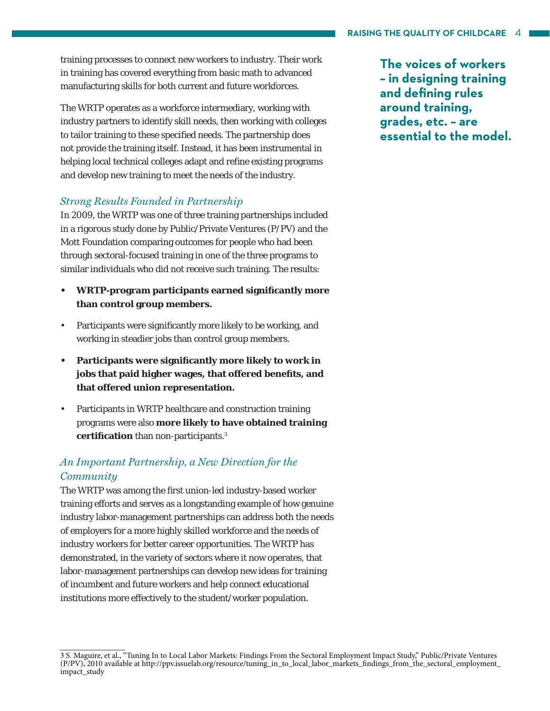training processes to connect new workers to industry. Their work in training has covered everything from basic math to advanced manufacturing skills for both current and future workforces.

The WRTP operates as a workforce intermediary, working with industry partners to identify skill needs, then working with colleges to tailor training to these specified needs. The partnership does not provide the training itself. Instead, it has been instrumental in helping local technical colleges adapt and refine existing programs and develop new training to meet the needs of the industry.

#### *Strong Results Founded in Partnership*

In 2009, the WRTP was one of three training partnerships included in a rigorous study done by Public/Private Ventures (P/PV) and the Mott Foundation comparing outcomes for people who had been through sectoral-focused training in one of the three programs to similar individuals who did not receive such training. The results:

- **WRTP-program participants earned signifi cantly more than control group members.**
- Participants were significantly more likely to be working, and working in steadier jobs than control group members.
- **Participants were signifi cantly more likely to work in jobs that paid higher wages, that offered benefi ts, and that offered union representation.**
- Participants in WRTP healthcare and construction training programs were also **more likely to have obtained training certification** than non-participants.<sup>3</sup>

## *An Important Partnership, a New Direction for the Community*

The WRTP was among the first union-led industry-based worker training efforts and serves as a longstanding example of how genuine industry labor-management partnerships can address both the needs of employers for a more highly skilled workforce and the needs of industry workers for better career opportunities. The WRTP has demonstrated, in the variety of sectors where it now operates, that labor-management partnerships can develop new ideas for training of incumbent and future workers and help connect educational institutions more effectively to the student/worker population.

**The voices of workers – in designing training**  and defining rules **around training, grades, etc. – are essential to the model.** 

<sup>3</sup> S. Maguire, et al., "Tuning In to Local Labor Markets: Findings From the Sectoral Employment Impact Study," Public/Private Ventures (P/PV), 2010 available at http://ppv.issuelab.org/resource/tuning\_in\_to\_local\_labor\_markets\_fi ndings\_from\_the\_sectoral\_employment\_ impact\_study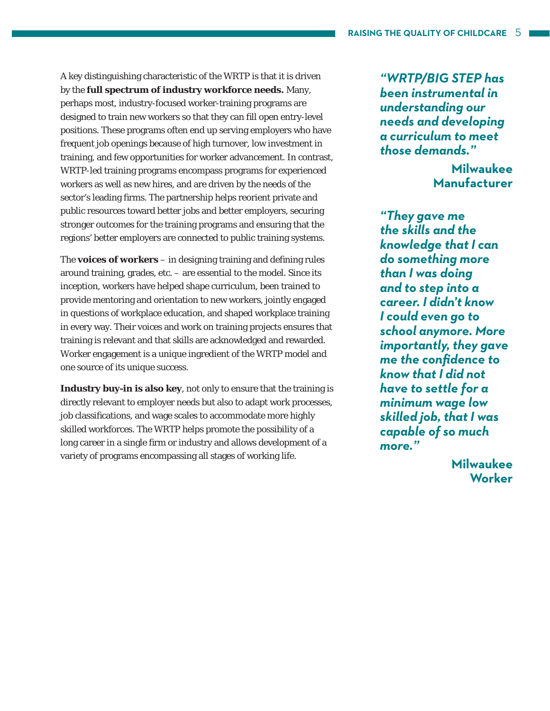A key distinguishing characteristic of the WRTP is that it is driven by the **full spectrum of industry workforce needs.** Many, perhaps most, industry-focused worker-training programs are designed to train new workers so that they can fill open entry-level positions. These programs often end up serving employers who have frequent job openings because of high turnover, low investment in training, and few opportunities for worker advancement. In contrast, WRTP-led training programs encompass programs for experienced workers as well as new hires, and are driven by the needs of the sector's leading firms. The partnership helps reorient private and public resources toward better jobs and better employers, securing stronger outcomes for the training programs and ensuring that the regions' better employers are connected to public training systems.

The **voices of workers** – in designing training and defining rules around training, grades, etc. – are essential to the model. Since its inception, workers have helped shape curriculum, been trained to provide mentoring and orientation to new workers, jointly engaged in questions of workplace education, and shaped workplace training in every way. Their voices and work on training projects ensures that training is relevant and that skills are acknowledged and rewarded. Worker engagement is a unique ingredient of the WRTP model and one source of its unique success.

**Industry buy-in is also key**, not only to ensure that the training is directly relevant to employer needs but also to adapt work processes, job classifications, and wage scales to accommodate more highly skilled workforces. The WRTP helps promote the possibility of a long career in a single firm or industry and allows development of a variety of programs encompassing all stages of working life.

*"WRTP/BIG STEP has been instrumental in understanding our needs and developing a curriculum to meet those demands."*

> **Milwaukee Manufacturer**

*"They gave me the skills and the knowledge that I can do something more than I was doing and to step into a career. I didn't know I could even go to school anymore. More importantly, they gave me the confi dence to know that I did not have to settle for a minimum wage low skilled job, that I was capable of so much more."*

> **Milwaukee Worker**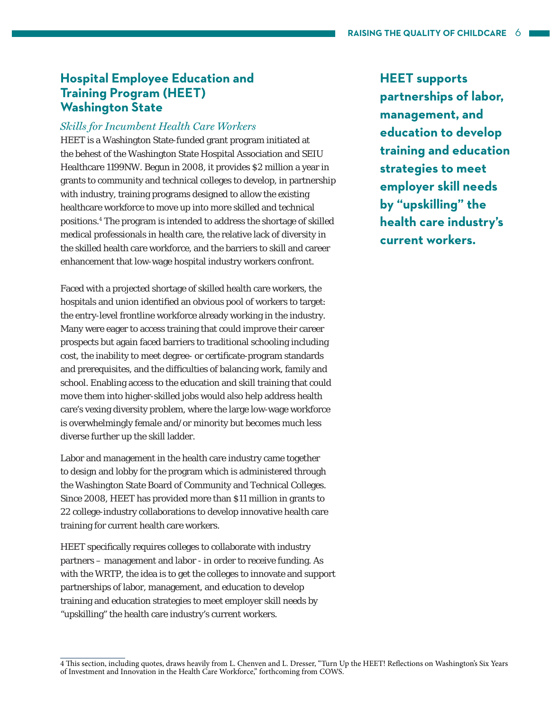## **Hospital Employee Education and Training Program (HEET) Washington State**

#### *Skills for Incumbent Health Care Workers*

HEET is a Washington State-funded grant program initiated at the behest of the Washington State Hospital Association and SEIU Healthcare 1199NW. Begun in 2008, it provides \$2 million a year in grants to community and technical colleges to develop, in partnership with industry, training programs designed to allow the existing healthcare workforce to move up into more skilled and technical positions.4 The program is intended to address the shortage of skilled medical professionals in health care, the relative lack of diversity in the skilled health care workforce, and the barriers to skill and career enhancement that low-wage hospital industry workers confront.

Faced with a projected shortage of skilled health care workers, the hospitals and union identified an obvious pool of workers to target: the entry-level frontline workforce already working in the industry. Many were eager to access training that could improve their career prospects but again faced barriers to traditional schooling including cost, the inability to meet degree- or certificate-program standards and prerequisites, and the difficulties of balancing work, family and school. Enabling access to the education and skill training that could move them into higher-skilled jobs would also help address health care's vexing diversity problem, where the large low-wage workforce is overwhelmingly female and/or minority but becomes much less diverse further up the skill ladder.

Labor and management in the health care industry came together to design and lobby for the program which is administered through the Washington State Board of Community and Technical Colleges. Since 2008, HEET has provided more than \$11 million in grants to 22 college-industry collaborations to develop innovative health care training for current health care workers.

HEET specifically requires colleges to collaborate with industry partners – management and labor - in order to receive funding. As with the WRTP, the idea is to get the colleges to innovate and support partnerships of labor, management, and education to develop training and education strategies to meet employer skill needs by "upskilling" the health care industry's current workers.

**HEET supports partnerships of labor, management, and education to develop training and education strategies to meet employer skill needs by "upskilling" the health care industry's current workers.**

<sup>4</sup> This section, including quotes, draws heavily from L. Chenven and L. Dresser, "Turn Up the HEET! Reflections on Washington's Six Years of Investment and Innovation in the Health Care Workforce," forthcoming from COWS.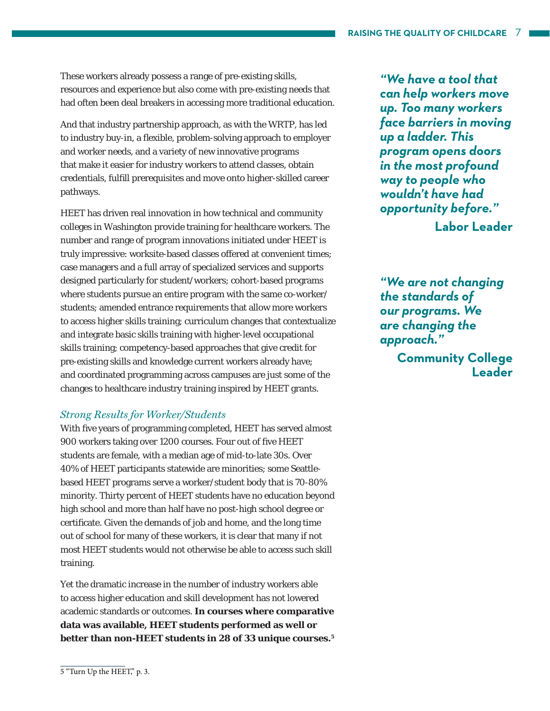These workers already possess a range of pre-existing skills, resources and experience but also come with pre-existing needs that had often been deal breakers in accessing more traditional education.

And that industry partnership approach, as with the WRTP, has led to industry buy-in, a flexible, problem-solving approach to employer and worker needs, and a variety of new innovative programs that make it easier for industry workers to attend classes, obtain credentials, fulfill prerequisites and move onto higher-skilled career pathways.

HEET has driven real innovation in how technical and community colleges in Washington provide training for healthcare workers. The number and range of program innovations initiated under HEET is truly impressive: worksite-based classes offered at convenient times; case managers and a full array of specialized services and supports designed particularly for student/workers; cohort-based programs where students pursue an entire program with the same co-worker/ students; amended entrance requirements that allow more workers to access higher skills training; curriculum changes that contextualize and integrate basic skills training with higher-level occupational skills training; competency-based approaches that give credit for pre-existing skills and knowledge current workers already have; and coordinated programming across campuses are just some of the changes to healthcare industry training inspired by HEET grants.

#### *Strong Results for Worker/Students*

With five years of programming completed, HEET has served almost 900 workers taking over 1200 courses. Four out of five HEET students are female, with a median age of mid-to-late 30s. Over 40% of HEET participants statewide are minorities; some Seattlebased HEET programs serve a worker/student body that is 70-80% minority. Thirty percent of HEET students have no education beyond high school and more than half have no post-high school degree or certificate. Given the demands of job and home, and the long time out of school for many of these workers, it is clear that many if not most HEET students would not otherwise be able to access such skill training.

Yet the dramatic increase in the number of industry workers able to access higher education and skill development has not lowered academic standards or outcomes. **In courses where comparative data was available, HEET students performed as well or better than non-HEET students in 28 of 33 unique courses.5**

*"We have a tool that can help workers move up. Too many workers face barriers in moving up a ladder. This program opens doors in the most profound way to people who wouldn't have had opportunity before."*  **Labor Leader**

*"We are not changing the standards of our programs. We are changing the approach."*

**Community College Leader**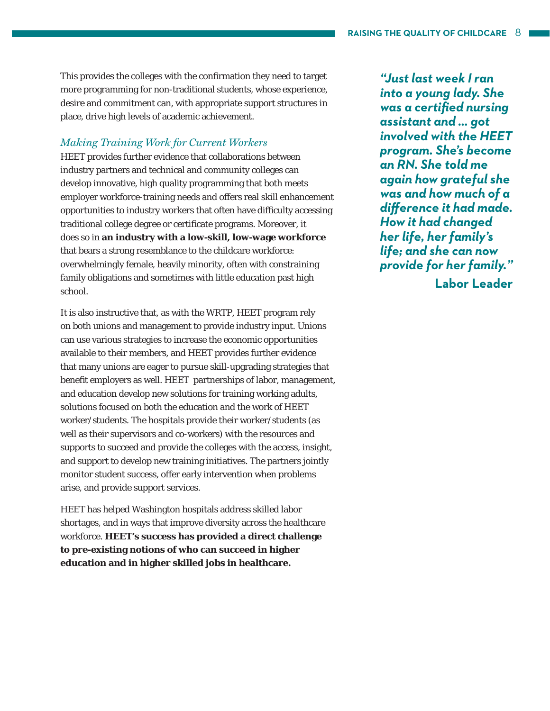This provides the colleges with the confirmation they need to target more programming for non-traditional students, whose experience, desire and commitment can, with appropriate support structures in place, drive high levels of academic achievement.

#### *Making Training Work for Current Workers*

HEET provides further evidence that collaborations between industry partners and technical and community colleges can develop innovative, high quality programming that both meets employer workforce-training needs and offers real skill enhancement opportunities to industry workers that often have difficulty accessing traditional college degree or certificate programs. Moreover, it does so in **an industry with a low-skill, low-wage workforce**  that bears a strong resemblance to the childcare workforce: overwhelmingly female, heavily minority, often with constraining family obligations and sometimes with little education past high school.

It is also instructive that, as with the WRTP, HEET program rely on both unions and management to provide industry input. Unions can use various strategies to increase the economic opportunities available to their members, and HEET provides further evidence that many unions are eager to pursue skill-upgrading strategies that benefit employers as well. HEET partnerships of labor, management, and education develop new solutions for training working adults, solutions focused on both the education and the work of HEET worker/students. The hospitals provide their worker/students (as well as their supervisors and co-workers) with the resources and supports to succeed and provide the colleges with the access, insight, and support to develop new training initiatives. The partners jointly monitor student success, offer early intervention when problems arise, and provide support services.

HEET has helped Washington hospitals address skilled labor shortages, and in ways that improve diversity across the healthcare workforce. **HEET's success has provided a direct challenge to pre-existing notions of who can succeed in higher education and in higher skilled jobs in healthcare.**

*"Just last week I ran into a young lady. She was a certifi ed nursing assistant and … got involved with the HEET program. She's become an RN. She told me again how grateful she was and how much of a diff erence it had made. How it had changed her life, her family's life; and she can now provide for her family."*

**Labor Leader**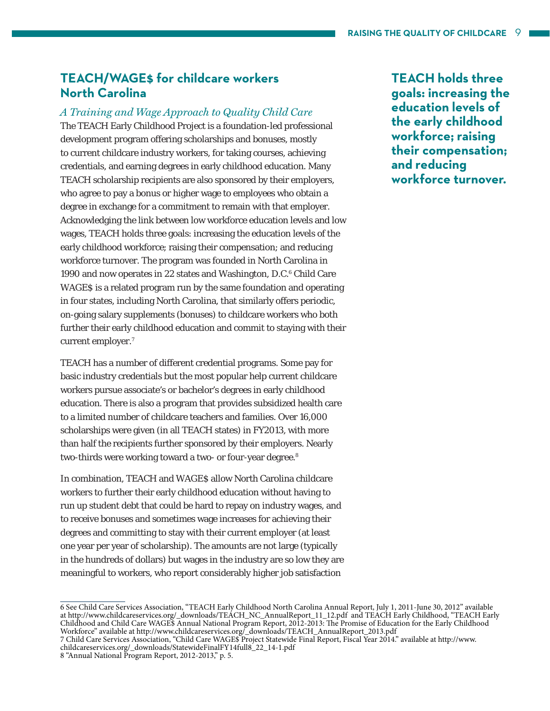## **TEACH/WAGE\$ for childcare workers North Carolina**

#### *A Training and Wage Approach to Quality Child Care*

The TEACH Early Childhood Project is a foundation-led professional development program offering scholarships and bonuses, mostly to current childcare industry workers, for taking courses, achieving credentials, and earning degrees in early childhood education. Many TEACH scholarship recipients are also sponsored by their employers, who agree to pay a bonus or higher wage to employees who obtain a degree in exchange for a commitment to remain with that employer. Acknowledging the link between low workforce education levels and low wages, TEACH holds three goals: increasing the education levels of the early childhood workforce; raising their compensation; and reducing workforce turnover. The program was founded in North Carolina in 1990 and now operates in 22 states and Washington, D.C.<sup>6</sup> Child Care WAGE\$ is a related program run by the same foundation and operating in four states, including North Carolina, that similarly offers periodic, on-going salary supplements (bonuses) to childcare workers who both further their early childhood education and commit to staying with their current employer.<sup>7</sup>

TEACH has a number of different credential programs. Some pay for basic industry credentials but the most popular help current childcare workers pursue associate's or bachelor's degrees in early childhood education. There is also a program that provides subsidized health care to a limited number of childcare teachers and families. Over 16,000 scholarships were given (in all TEACH states) in FY2013, with more than half the recipients further sponsored by their employers. Nearly two-thirds were working toward a two- or four-year degree.<sup>8</sup>

In combination, TEACH and WAGES allow North Carolina childcare workers to further their early childhood education without having to run up student debt that could be hard to repay on industry wages, and to receive bonuses and sometimes wage increases for achieving their degrees and committing to stay with their current employer (at least one year per year of scholarship). The amounts are not large (typically in the hundreds of dollars) but wages in the industry are so low they are meaningful to workers, who report considerably higher job satisfaction

**TEACH holds three goals: increasing the education levels of the early childhood workforce; raising their compensation; and reducing workforce turnover.** 

<sup>6</sup> See Child Care Services Association, "TEACH Early Childhood North Carolina Annual Report, July 1, 2011-June 30, 2012" available at http://www.childcareservices.org/\_downloads/TEACH\_NC\_AnnualReport\_11\_12.pdf and TEACH Early Childhood, "TEACH Early Childhood and Child Care WAGE\$ Annual National Program Report, 2012-2013: The Promise of Education for the Early Childhood Workforce" available at http://www.childcareservices.org/\_downloads/TEACH\_AnnualReport\_2013.pdf

<sup>7</sup> Child Care Services Association, "Child Care WAGE\$ Project Statewide Final Report, Fiscal Year 2014." available at http://www. childcareservices.org/\_downloads/StatewideFinalFY14full8\_22\_14-1.pdf

<sup>8 &</sup>quot;Annual National Program Report, 2012-2013," p. 5.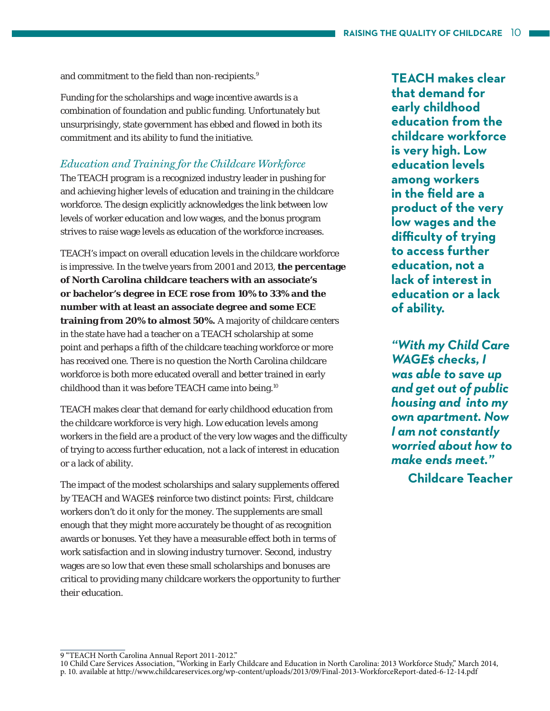and commitment to the field than non-recipients.<sup>9</sup>

Funding for the scholarships and wage incentive awards is a combination of foundation and public funding. Unfortunately but unsurprisingly, state government has ebbed and flowed in both its commitment and its ability to fund the initiative.

#### *Education and Training for the Childcare Workforce*

The TEACH program is a recognized industry leader in pushing for and achieving higher levels of education and training in the childcare workforce. The design explicitly acknowledges the link between low levels of worker education and low wages, and the bonus program strives to raise wage levels as education of the workforce increases.

TEACH's impact on overall education levels in the childcare workforce is impressive. In the twelve years from 2001 and 2013, **the percentage of North Carolina childcare teachers with an associate's or bachelor's degree in ECE rose from 10% to 33% and the number with at least an associate degree and some ECE training from 20% to almost 50%.** A majority of childcare centers in the state have had a teacher on a TEACH scholarship at some point and perhaps a fifth of the childcare teaching workforce or more has received one. There is no question the North Carolina childcare workforce is both more educated overall and better trained in early childhood than it was before TEACH came into being.10

TEACH makes clear that demand for early childhood education from the childcare workforce is very high. Low education levels among workers in the field are a product of the very low wages and the difficulty of trying to access further education, not a lack of interest in education or a lack of ability.

The impact of the modest scholarships and salary supplements offered by TEACH and WAGE\$ reinforce two distinct points: First, childcare workers don't do it only for the money. The supplements are small enough that they might more accurately be thought of as recognition awards or bonuses. Yet they have a measurable effect both in terms of work satisfaction and in slowing industry turnover. Second, industry wages are so low that even these small scholarships and bonuses are critical to providing many childcare workers the opportunity to further their education.

**TEACH makes clear that demand for early childhood education from the childcare workforce is very high. Low education levels among workers in the fi eld are a product of the very low wages and the diffi culty of trying to access further education, not a lack of interest in education or a lack of ability.**

*"With my Child Care WAGE\$ checks, I was able to save up and get out of public housing and into my own apartment. Now I am not constantly worried about how to make ends meet."*  **Childcare Teacher**

<sup>9 &</sup>quot;TEACH North Carolina Annual Report 2011-2012."

<sup>10</sup> Child Care Services Association, "Working in Early Childcare and Education in North Carolina: 2013 Workforce Study," March 2014, p. 10. available at http://www.childcareservices.org/wp-content/uploads/2013/09/Final-2013-WorkforceReport-dated-6-12-14.pdf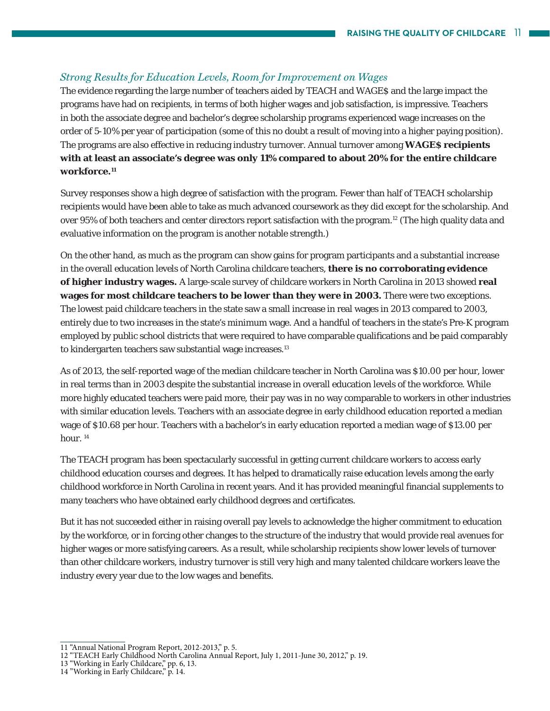#### *Strong Results for Education Levels, Room for Improvement on Wages*

The evidence regarding the large number of teachers aided by TEACH and WAGE\$ and the large impact the programs have had on recipients, in terms of both higher wages and job satisfaction, is impressive. Teachers in both the associate degree and bachelor's degree scholarship programs experienced wage increases on the order of 5-10% per year of participation (some of this no doubt a result of moving into a higher paying position). The programs are also effective in reducing industry turnover. Annual turnover among **WAGE\$ recipients with at least an associate's degree was only 11% compared to about 20% for the entire childcare workforce.11**

Survey responses show a high degree of satisfaction with the program. Fewer than half of TEACH scholarship recipients would have been able to take as much advanced coursework as they did except for the scholarship. And over 95% of both teachers and center directors report satisfaction with the program.12 (The high quality data and evaluative information on the program is another notable strength.)

On the other hand, as much as the program can show gains for program participants and a substantial increase in the overall education levels of North Carolina childcare teachers, **there is no corroborating evidence of higher industry wages.** A large-scale survey of childcare workers in North Carolina in 2013 showed **real wages for most childcare teachers to be lower than they were in 2003.** There were two exceptions. The lowest paid childcare teachers in the state saw a small increase in real wages in 2013 compared to 2003, entirely due to two increases in the state's minimum wage. And a handful of teachers in the state's Pre-K program employed by public school districts that were required to have comparable qualifications and be paid comparably to kindergarten teachers saw substantial wage increases.<sup>13</sup>

As of 2013, the self-reported wage of the median childcare teacher in North Carolina was \$10.00 per hour, lower in real terms than in 2003 despite the substantial increase in overall education levels of the workforce. While more highly educated teachers were paid more, their pay was in no way comparable to workers in other industries with similar education levels. Teachers with an associate degree in early childhood education reported a median wage of \$10.68 per hour. Teachers with a bachelor's in early education reported a median wage of \$13.00 per hour.<sup>14</sup>

The TEACH program has been spectacularly successful in getting current childcare workers to access early childhood education courses and degrees. It has helped to dramatically raise education levels among the early childhood workforce in North Carolina in recent years. And it has provided meaningful financial supplements to many teachers who have obtained early childhood degrees and certificates.

But it has not succeeded either in raising overall pay levels to acknowledge the higher commitment to education by the workforce, or in forcing other changes to the structure of the industry that would provide real avenues for higher wages or more satisfying careers. As a result, while scholarship recipients show lower levels of turnover than other childcare workers, industry turnover is still very high and many talented childcare workers leave the industry every year due to the low wages and benefits.

<sup>11 &</sup>quot;Annual National Program Report, 2012-2013," p. 5.

<sup>12 &</sup>quot;TEACH Early Childhood North Carolina Annual Report, July 1, 2011-June 30, 2012," p. 19.

<sup>13 &</sup>quot;Working in Early Childcare," pp. 6, 13.

<sup>14 &</sup>quot;Working in Early Childcare," p. 14.